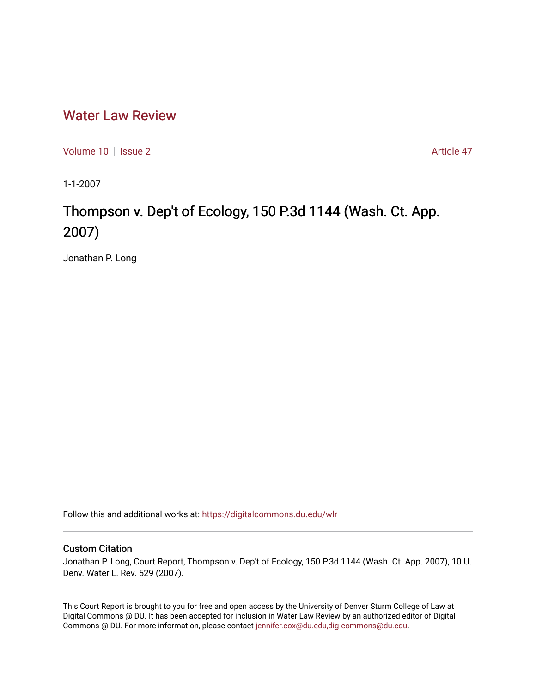# [Water Law Review](https://digitalcommons.du.edu/wlr)

[Volume 10](https://digitalcommons.du.edu/wlr/vol10) | [Issue 2](https://digitalcommons.du.edu/wlr/vol10/iss2) Article 47

1-1-2007

# Thompson v. Dep't of Ecology, 150 P.3d 1144 (Wash. Ct. App. 2007)

Jonathan P. Long

Follow this and additional works at: [https://digitalcommons.du.edu/wlr](https://digitalcommons.du.edu/wlr?utm_source=digitalcommons.du.edu%2Fwlr%2Fvol10%2Fiss2%2F47&utm_medium=PDF&utm_campaign=PDFCoverPages) 

## Custom Citation

Jonathan P. Long, Court Report, Thompson v. Dep't of Ecology, 150 P.3d 1144 (Wash. Ct. App. 2007), 10 U. Denv. Water L. Rev. 529 (2007).

This Court Report is brought to you for free and open access by the University of Denver Sturm College of Law at Digital Commons @ DU. It has been accepted for inclusion in Water Law Review by an authorized editor of Digital Commons @ DU. For more information, please contact [jennifer.cox@du.edu,dig-commons@du.edu.](mailto:jennifer.cox@du.edu,dig-commons@du.edu)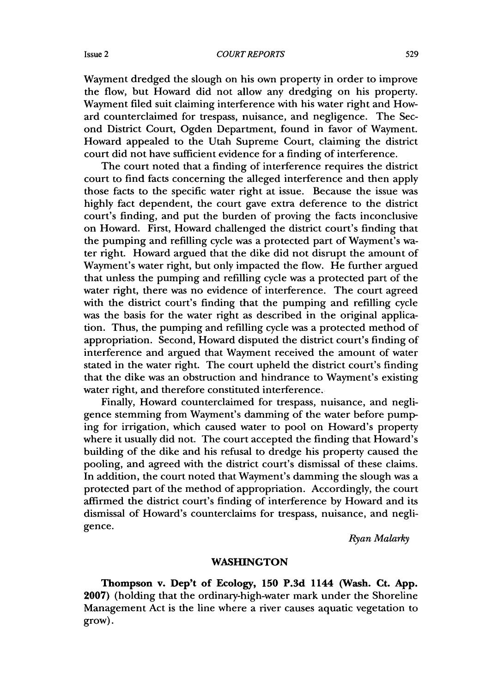#### *COURT REPORTS*

Wayment dredged the slough on his own property in order to improve the flow, but Howard did not allow any dredging on his property. Wayment filed suit claiming interference with his water right and Howard counterclaimed for trespass, nuisance, and negligence. The Second District Court, Ogden Department, found in favor of Wayment. Howard appealed to the Utah Supreme Court, claiming the district court did not have sufficient evidence for a finding of interference.

The court noted that a finding of interference requires the district court to find facts concerning the alleged interference and then apply those facts to the specific water right at issue. Because the issue was highly fact dependent, the court gave extra deference to the district court's finding, and put the burden of proving the facts inconclusive on Howard. First, Howard challenged the district court's finding that the pumping and refilling cycle was a protected part of Wayment's water right. Howard argued that the dike did not disrupt the amount of Wayment's water right, but only impacted the flow. He further argued that unless the pumping and refilling cycle was a protected part of the water right, there was no evidence of interference. The court agreed with the district court's finding that the pumping and refilling cycle was the basis for the water right as described in the original application. Thus, the pumping and refilling cycle was a protected method of appropriation. Second, Howard disputed the district court's finding of interference and argued that Wayment received the amount of water stated in the water right. The court upheld the district court's finding that the dike was an obstruction and hindrance to Wayment's existing water right, and therefore constituted interference.

Finally, Howard counterclaimed for trespass, nuisance, and negligence stemming from Wayment's damming of the water before pumping for irrigation, which caused water to pool on Howard's property where it usually did not. The court accepted the finding that Howard's building of the dike and his refusal to dredge his property caused the pooling, and agreed with the district court's dismissal of these claims. In addition, the court noted that Wayment's damming the slough was a protected part of the method of appropriation. Accordingly, the court affirmed the district court's finding of interference by Howard and its dismissal of Howard's counterclaims for trespass, nuisance, and negligence.

*Ryan Malarky*

### **WASHINGTON**

**Thompson v. Dep't of Ecology, 150 P.3d 1144 (Wash. Ct. App. 2007) (holding that** the ordinary-high-water mark under the Shoreline **Management Act** is the line where a river causes aquatic vegetation to **grow).**